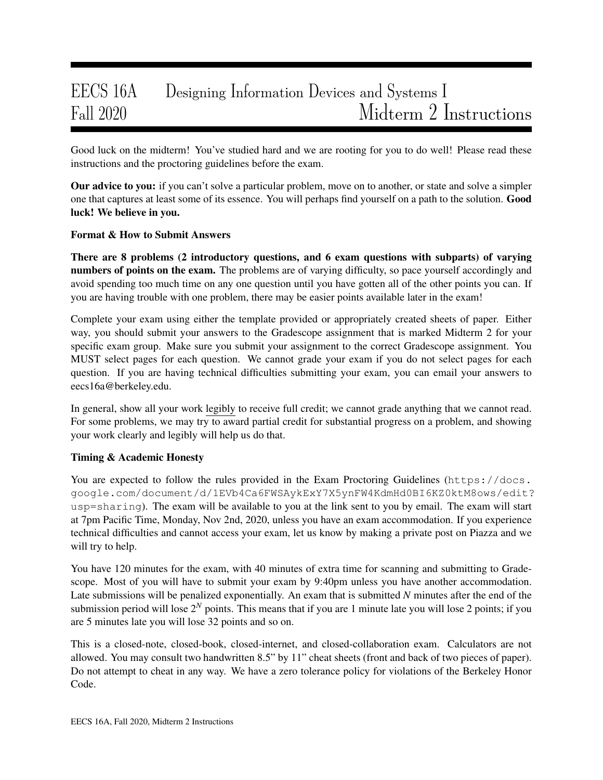# EECS 16A Designing Information Devices and Systems I Fall 2020 Midterm 2 Instructions

Good luck on the midterm! You've studied hard and we are rooting for you to do well! Please read these instructions and the proctoring guidelines before the exam.

**Our advice to you:** if you can't solve a particular problem, move on to another, or state and solve a simpler one that captures at least some of its essence. You will perhaps find yourself on a path to the solution. Good luck! We believe in you.

### Format & How to Submit Answers

There are 8 problems (2 introductory questions, and 6 exam questions with subparts) of varying numbers of points on the exam. The problems are of varying difficulty, so pace yourself accordingly and avoid spending too much time on any one question until you have gotten all of the other points you can. If you are having trouble with one problem, there may be easier points available later in the exam!

Complete your exam using either the template provided or appropriately created sheets of paper. Either way, you should submit your answers to the Gradescope assignment that is marked Midterm 2 for your specific exam group. Make sure you submit your assignment to the correct Gradescope assignment. You MUST select pages for each question. We cannot grade your exam if you do not select pages for each question. If you are having technical difficulties submitting your exam, you can email your answers to eecs16a@berkeley.edu.

In general, show all your work legibly to receive full credit; we cannot grade anything that we cannot read. For some problems, we may try to award partial credit for substantial progress on a problem, and showing your work clearly and legibly will help us do that.

### Timing & Academic Honesty

You are expected to follow the rules provided in the Exam Proctoring Guidelines (https://docs. google.com/document/d/1EVb4Ca6FWSAykExY7X5ynFW4KdmHd0BI6KZ0ktM8ows/edit? usp=sharing). The exam will be available to you at the link sent to you by email. The exam will start at 7pm Pacific Time, Monday, Nov 2nd, 2020, unless you have an exam accommodation. If you experience technical difficulties and cannot access your exam, let us know by making a private post on Piazza and we will try to help.

You have 120 minutes for the exam, with 40 minutes of extra time for scanning and submitting to Gradescope. Most of you will have to submit your exam by 9:40pm unless you have another accommodation. Late submissions will be penalized exponentially. An exam that is submitted *N* minutes after the end of the submission period will lose  $2^N$  points. This means that if you are 1 minute late you will lose 2 points; if you are 5 minutes late you will lose 32 points and so on.

This is a closed-note, closed-book, closed-internet, and closed-collaboration exam. Calculators are not allowed. You may consult two handwritten 8.5" by 11" cheat sheets (front and back of two pieces of paper). Do not attempt to cheat in any way. We have a zero tolerance policy for violations of the Berkeley Honor Code.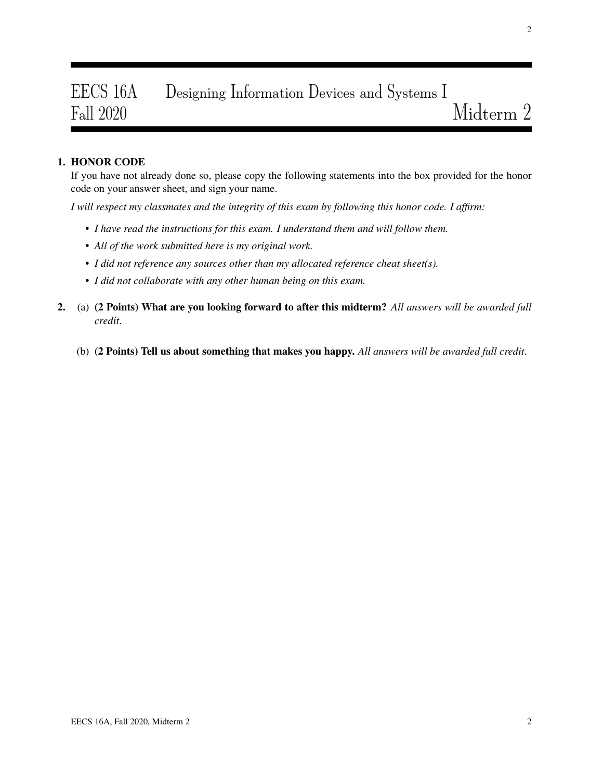# EECS 16A Designing Information Devices and Systems I Fall 2020 Midterm 2

## 1. HONOR CODE

If you have not already done so, please copy the following statements into the box provided for the honor code on your answer sheet, and sign your name.

*I will respect my classmates and the integrity of this exam by following this honor code. I affirm:*

- *I have read the instructions for this exam. I understand them and will follow them.*
- *All of the work submitted here is my original work.*
- *I did not reference any sources other than my allocated reference cheat sheet(s).*
- *I did not collaborate with any other human being on this exam.*
- 2. (a) (2 Points) What are you looking forward to after this midterm? *All answers will be awarded full credit*.
	- (b) (2 Points) Tell us about something that makes you happy. *All answers will be awarded full credit*.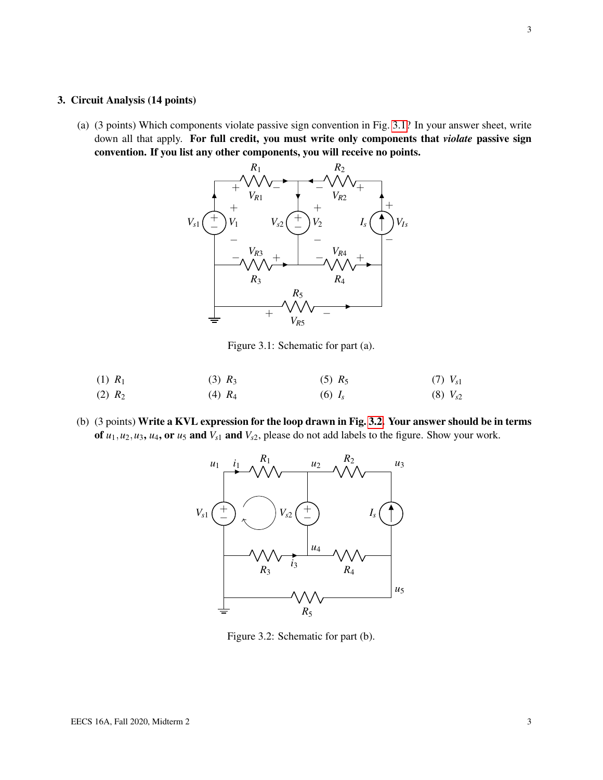#### 3. Circuit Analysis (14 points)

<span id="page-2-0"></span>(a) (3 points) Which components violate passive sign convention in Fig. [3.1?](#page-2-0) In your answer sheet, write down all that apply. For full credit, you must write only components that *violate* passive sign convention. If you list any other components, you will receive no points.



Figure 3.1: Schematic for part (a).

- (1) *R*<sup>1</sup> (2)  $R_2$  $(3)$   $R_3$ (4) *R*<sup>4</sup>  $(5)$   $R_5$ (6) *I<sup>s</sup>*  $(7)$   $V_{s1}$  $(V_{s2})$
- <span id="page-2-1"></span>(b) (3 points) Write a KVL expression for the loop drawn in Fig. [3.2.](#page-2-1) Your answer should be in terms of  $u_1, u_2, u_3, u_4$ , or  $u_5$  and  $V_{s1}$  and  $V_{s2}$ , please do not add labels to the figure. Show your work.



Figure 3.2: Schematic for part (b).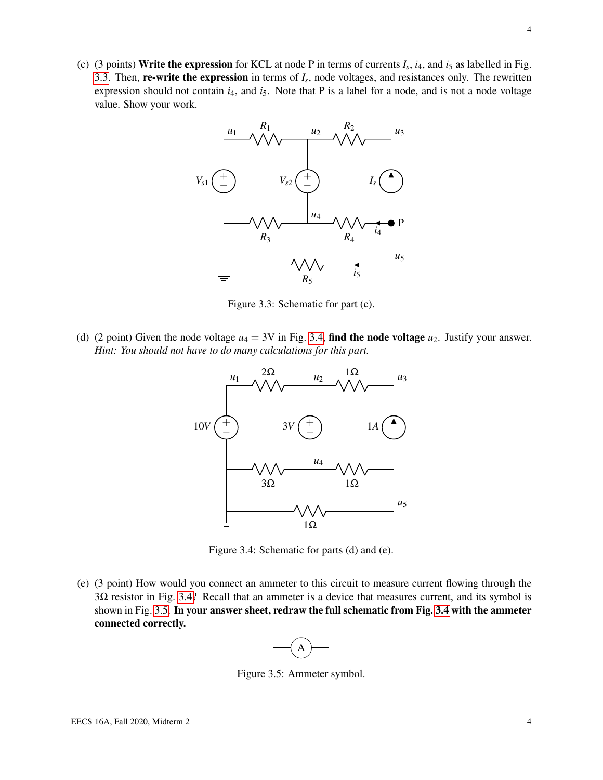<span id="page-3-0"></span>(c) (3 points) Write the expression for KCL at node P in terms of currents  $I_s$ ,  $i_4$ , and  $i_5$  as labelled in Fig. [3.3.](#page-3-0) Then, **re-write the expression** in terms of  $I_s$ , node voltages, and resistances only. The rewritten expression should not contain  $i_4$ , and  $i_5$ . Note that P is a label for a node, and is not a node voltage value. Show your work.



Figure 3.3: Schematic for part (c).

<span id="page-3-1"></span>(d) (2 point) Given the node voltage  $u_4 = 3V$  in Fig. [3.4,](#page-3-1) find the node voltage  $u_2$ . Justify your answer. *Hint: You should not have to do many calculations for this part.*



Figure 3.4: Schematic for parts (d) and (e).

<span id="page-3-2"></span>(e) (3 point) How would you connect an ammeter to this circuit to measure current flowing through the 3Ω resistor in Fig. [3.4?](#page-3-1) Recall that an ammeter is a device that measures current, and its symbol is shown in Fig. [3.5.](#page-3-2) In your answer sheet, redraw the full schematic from Fig. [3.4](#page-3-1) with the ammeter connected correctly.



Figure 3.5: Ammeter symbol.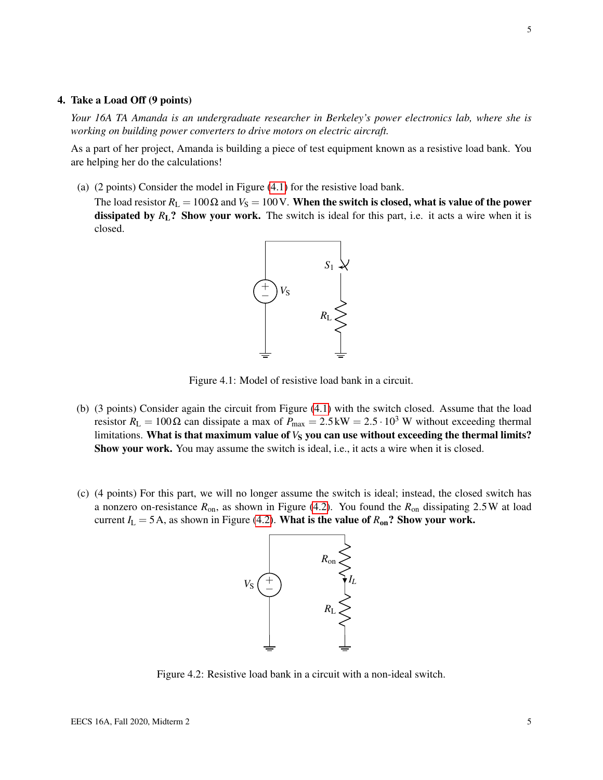#### 4. Take a Load Off (9 points)

*Your 16A TA Amanda is an undergraduate researcher in Berkeley's power electronics lab, where she is working on building power converters to drive motors on electric aircraft.*

As a part of her project, Amanda is building a piece of test equipment known as a resistive load bank. You are helping her do the calculations!

(a) (2 points) Consider the model in Figure [\(4.1\)](#page-4-0) for the resistive load bank.

<span id="page-4-0"></span>The load resistor  $R_L = 100 \Omega$  and  $V_S = 100 V$ . When the switch is closed, what is value of the power dissipated by  $R_L$ ? Show your work. The switch is ideal for this part, i.e. it acts a wire when it is closed.



Figure 4.1: Model of resistive load bank in a circuit.

- (b) (3 points) Consider again the circuit from Figure [\(4.1\)](#page-4-0) with the switch closed. Assume that the load resistor  $R_L = 100 \Omega$  can dissipate a max of  $P_{\text{max}} = 2.5 \text{ kW} = 2.5 \cdot 10^3 \text{ W}$  without exceeding thermal limitations. What is that maximum value of  $V<sub>S</sub>$  you can use without exceeding the thermal limits? Show your work. You may assume the switch is ideal, i.e., it acts a wire when it is closed.
- <span id="page-4-1"></span>(c) (4 points) For this part, we will no longer assume the switch is ideal; instead, the closed switch has a nonzero on-resistance *R*on, as shown in Figure [\(4.2\)](#page-4-1). You found the *R*on dissipating 2.5W at load current  $I_L = 5A$ , as shown in Figure [\(4.2\)](#page-4-1). What is the value of  $R_{on}$ ? Show your work.



Figure 4.2: Resistive load bank in a circuit with a non-ideal switch.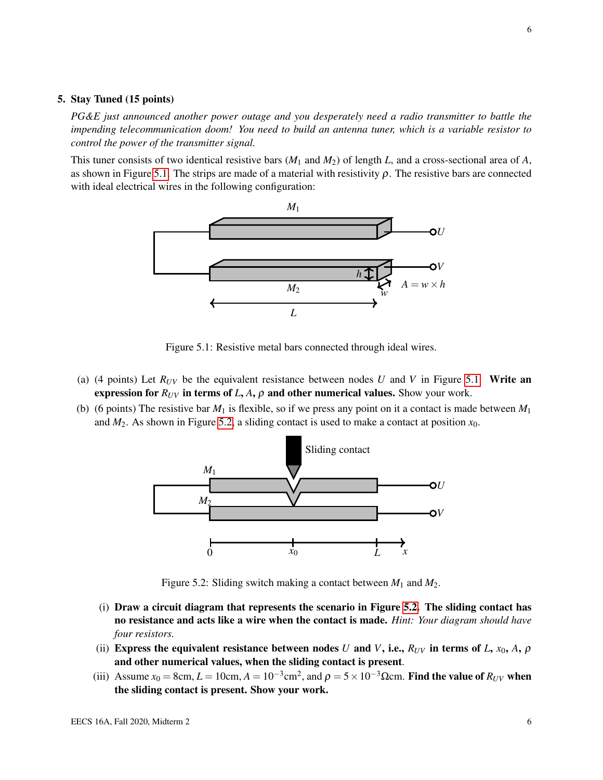#### 5. Stay Tuned (15 points)

*PG&E just announced another power outage and you desperately need a radio transmitter to battle the impending telecommunication doom! You need to build an antenna tuner, which is a variable resistor to control the power of the transmitter signal.*

<span id="page-5-0"></span>This tuner consists of two identical resistive bars (*M*<sup>1</sup> and *M*2) of length *L*, and a cross-sectional area of *A*, as shown in Figure [5.1.](#page-5-0) The strips are made of a material with resistivity  $\rho$ . The resistive bars are connected with ideal electrical wires in the following configuration:



Figure 5.1: Resistive metal bars connected through ideal wires.

- (a) (4 points) Let  $R_{UV}$  be the equivalent resistance between nodes *U* and *V* in Figure [5.1.](#page-5-0) Write an expression for  $R_{UV}$  in terms of *L*, *A*,  $\rho$  and other numerical values. Show your work.
- <span id="page-5-1"></span>(b) (6 points) The resistive bar  $M_1$  is flexible, so if we press any point on it a contact is made between  $M_1$ and  $M_2$ . As shown in Figure [5.2,](#page-5-1) a sliding contact is used to make a contact at position  $x_0$ .



Figure 5.2: Sliding switch making a contact between *M*<sup>1</sup> and *M*2.

- (i) Draw a circuit diagram that represents the scenario in Figure [5.2.](#page-5-1) The sliding contact has no resistance and acts like a wire when the contact is made. *Hint: Your diagram should have four resistors.*
- (ii) Express the equivalent resistance between nodes *U* and *V*, i.e.,  $R_{UV}$  in terms of *L*,  $x_0$ , *A*,  $\rho$ and other numerical values, when the sliding contact is present.
- (iii) Assume  $x_0 = 8$ cm,  $L = 10$ cm,  $A = 10^{-3}$ cm<sup>2</sup>, and  $\rho = 5 \times 10^{-3}$  Ωcm. Find the value of  $R_{UV}$  when the sliding contact is present. Show your work.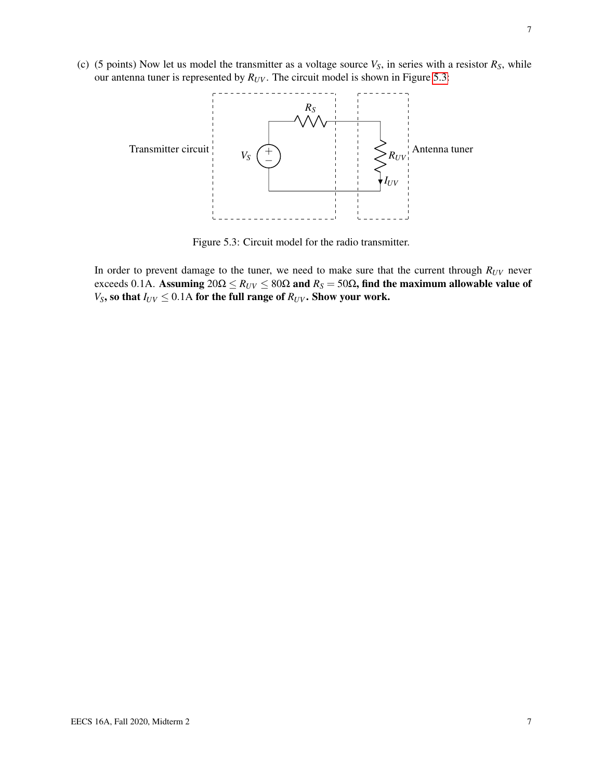<span id="page-6-0"></span>(c) (5 points) Now let us model the transmitter as a voltage source  $V_S$ , in series with a resistor  $R_S$ , while our antenna tuner is represented by  $R_{UV}$ . The circuit model is shown in Figure [5.3:](#page-6-0)



Figure 5.3: Circuit model for the radio transmitter.

In order to prevent damage to the tuner, we need to make sure that the current through  $R_{UV}$  never exceeds 0.1A. Assuming  $20\Omega \le R_{UV} \le 80\Omega$  and  $R_S = 50\Omega$ , find the maximum allowable value of *V*<sub>S</sub>, so that  $I_{UV} \leq 0.1$ A for the full range of  $R_{UV}$ . Show your work.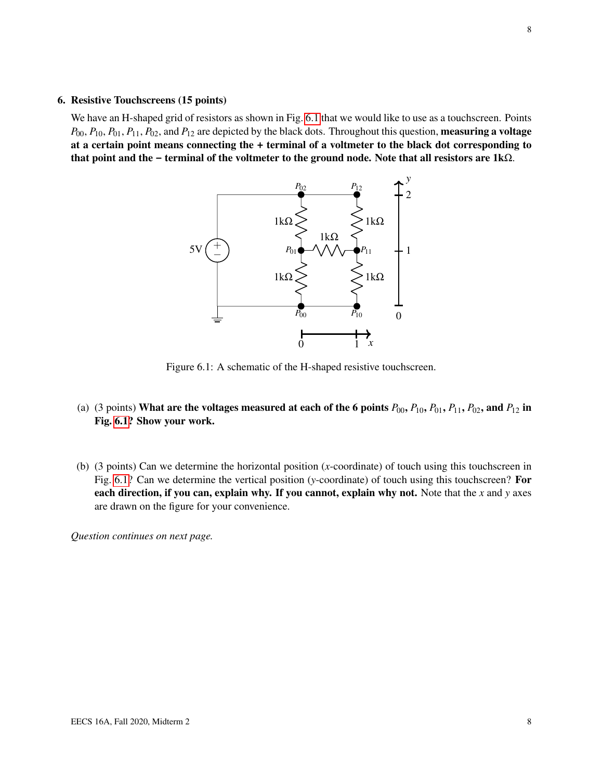#### 6. Resistive Touchscreens (15 points)

<span id="page-7-0"></span>We have an H-shaped grid of resistors as shown in Fig. [6.1](#page-7-0) that we would like to use as a touchscreen. Points  $P_{00}$ ,  $P_{10}$ ,  $P_{01}$ ,  $P_{11}$ ,  $P_{02}$ , and  $P_{12}$  are depicted by the black dots. Throughout this question, **measuring a voltage** at a certain point means connecting the **+** terminal of a voltmeter to the black dot corresponding to that point and the **-** terminal of the voltmeter to the ground node. Note that all resistors are 1kΩ.



Figure 6.1: A schematic of the H-shaped resistive touchscreen.

- (a) (3 points) What are the voltages measured at each of the 6 points  $P_{00}$ ,  $P_{10}$ ,  $P_{01}$ ,  $P_{11}$ ,  $P_{02}$ , and  $P_{12}$  in Fig. [6.1?](#page-7-0) Show your work.
- (b) (3 points) Can we determine the horizontal position (*x*-coordinate) of touch using this touchscreen in Fig. [6.1?](#page-7-0) Can we determine the vertical position (*y*-coordinate) of touch using this touchscreen? For each direction, if you can, explain why. If you cannot, explain why not. Note that the *x* and *y* axes are drawn on the figure for your convenience.

*Question continues on next page.*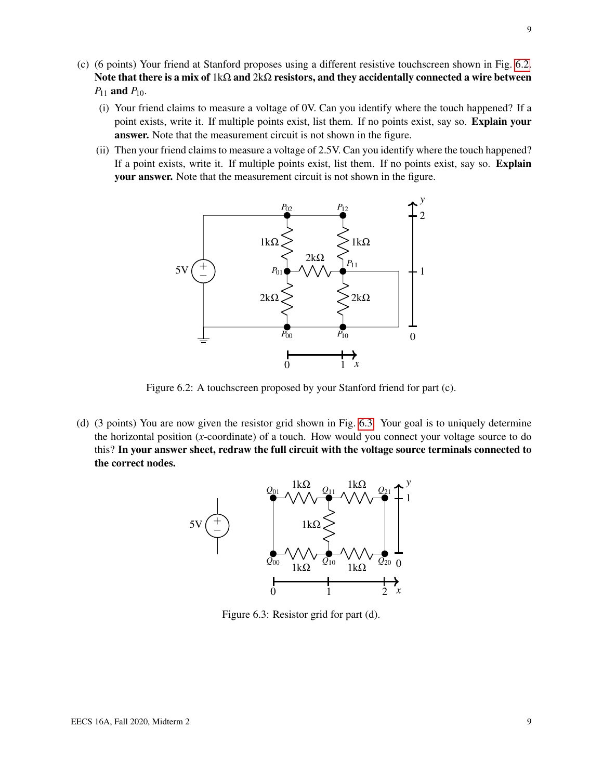- (c) (6 points) Your friend at Stanford proposes using a different resistive touchscreen shown in Fig. [6.2.](#page-8-0) Note that there is a mix of  $1k\Omega$  and  $2k\Omega$  resistors, and they accidentally connected a wire between  $P_{11}$  and  $P_{10}$ .
	- (i) Your friend claims to measure a voltage of 0V. Can you identify where the touch happened? If a point exists, write it. If multiple points exist, list them. If no points exist, say so. **Explain your** answer. Note that the measurement circuit is not shown in the figure.
	- (ii) Then your friend claims to measure a voltage of 2.5V. Can you identify where the touch happened? If a point exists, write it. If multiple points exist, list them. If no points exist, say so. Explain your answer. Note that the measurement circuit is not shown in the figure.

<span id="page-8-0"></span>

Figure 6.2: A touchscreen proposed by your Stanford friend for part (c).

<span id="page-8-1"></span>(d) (3 points) You are now given the resistor grid shown in Fig. [6.3.](#page-8-1) Your goal is to uniquely determine the horizontal position (*x*-coordinate) of a touch. How would you connect your voltage source to do this? In your answer sheet, redraw the full circuit with the voltage source terminals connected to the correct nodes.



Figure 6.3: Resistor grid for part (d).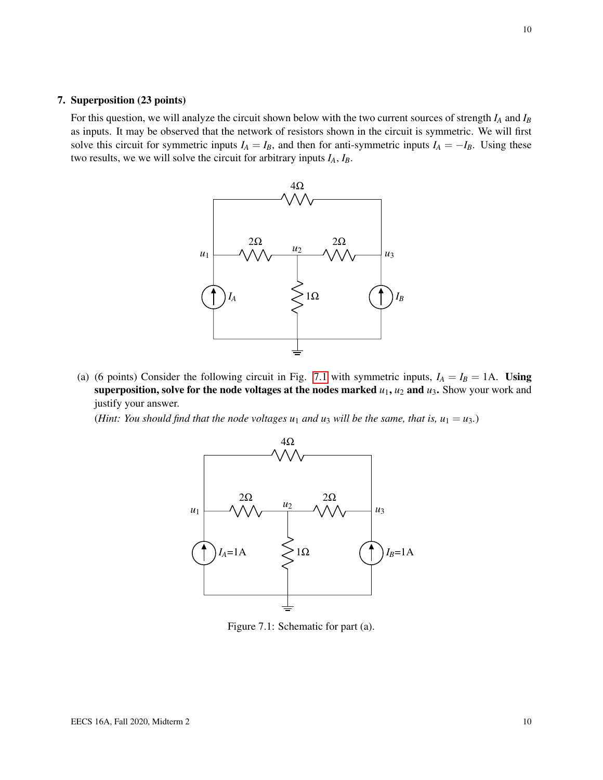#### 7. Superposition (23 points)

For this question, we will analyze the circuit shown below with the two current sources of strength *I<sup>A</sup>* and *I<sup>B</sup>* as inputs. It may be observed that the network of resistors shown in the circuit is symmetric. We will first solve this circuit for symmetric inputs  $I_A = I_B$ , and then for anti-symmetric inputs  $I_A = -I_B$ . Using these two results, we we will solve the circuit for arbitrary inputs *IA*, *IB*.



(a) (6 points) Consider the following circuit in Fig. [7.1](#page-9-0) with symmetric inputs,  $I_A = I_B = 1$ A. Using superposition, solve for the node voltages at the nodes marked  $u_1$ ,  $u_2$  and  $u_3$ . Show your work and justify your answer.

<span id="page-9-0"></span>*(Hint: You should find that the node voltages*  $u_1$  *and*  $u_3$  *will be the same, that is,*  $u_1 = u_3$ *.)* 



Figure 7.1: Schematic for part (a).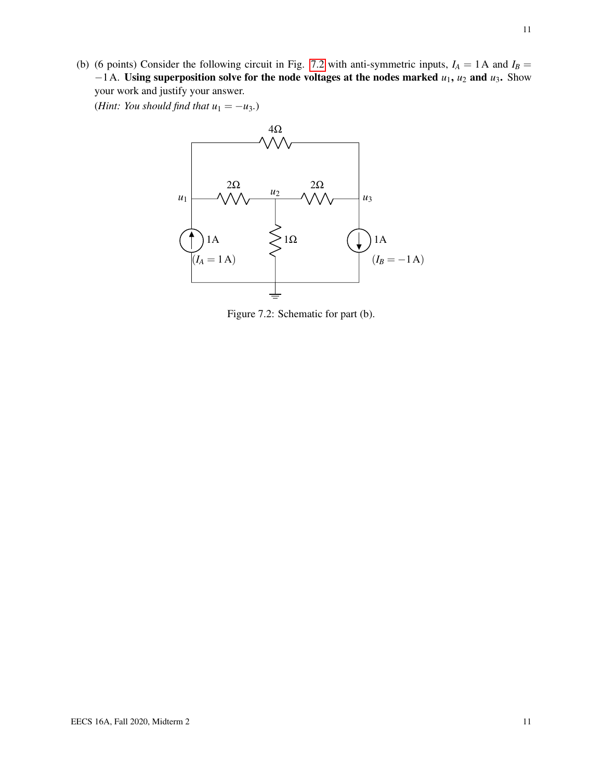(b) (6 points) Consider the following circuit in Fig. [7.2](#page-10-0) with anti-symmetric inputs,  $I_A = 1$  A and  $I_B =$ −1A. Using superposition solve for the node voltages at the nodes marked *u*1, *u*<sup>2</sup> and *u*3. Show your work and justify your answer.

<span id="page-10-0"></span>(*Hint: You should find that*  $u_1 = -u_3$ *.*)



Figure 7.2: Schematic for part (b).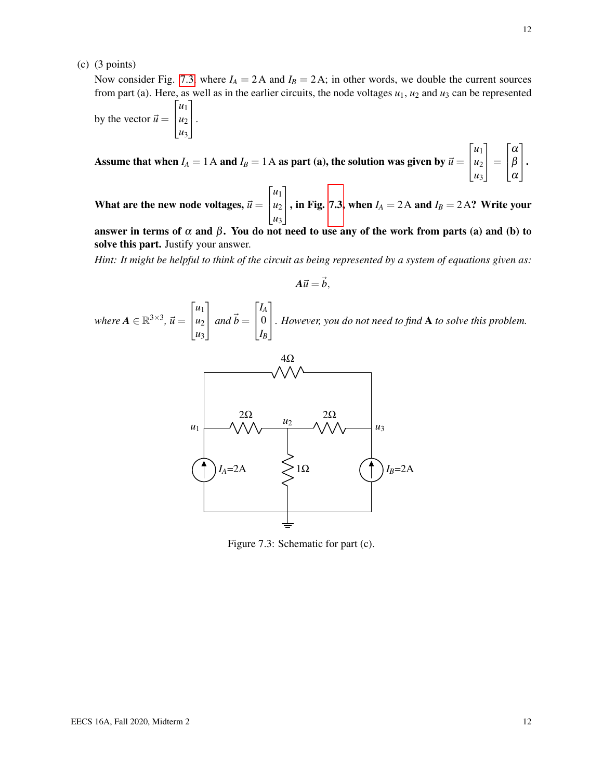12

(c) (3 points)

Now consider Fig. [7.3,](#page-11-0) where  $I_A = 2A$  and  $I_B = 2A$ ; in other words, we double the current sources from part (a). Here, as well as in the earlier circuits, the node voltages  $u_1$ ,  $u_2$  and  $u_3$  can be represented  $\sqrt{ }$ *u*1 1

by the vector  $\vec{u} =$  $\overline{1}$  $u_2$ *u*3  $\vert \cdot$ 

Assume that when  $I_A = 1$  A and  $I_B = 1$  A as part (a), the solution was given by  $\vec{u} =$  $\sqrt{ }$  $\overline{1}$ *u*1 *u*2 *u*3 1  $\Big| =$  $\sqrt{ }$  $\overline{1}$ α β α 1  $\vert \cdot$ 

What are the new node voltages,  $\vec{u} =$  $\sqrt{ }$  $\overline{1}$ *u*1 *u*2 *u*3 1  $\vert$ , in Fig. [7.3,](#page-11-0) when  $I_A = 2A$  and  $I_B = 2A$ ? Write your

answer in terms of  $\alpha$  and  $\beta$ . You do not need to use any of the work from parts (a) and (b) to solve this part. Justify your answer.

*Hint: It might be helpful to think of the circuit as being represented by a system of equations given as:*

$$
A\vec{u}=\vec{b},
$$

<span id="page-11-0"></span>*where*  $A \in \mathbb{R}^{3 \times 3}$ ,  $\vec{u} =$  $\sqrt{ }$  $\overline{1}$ *u*1 *u*2 *u*3 1  $\int$  *and*  $\vec{b}$  =  $\sqrt{ }$  $\overline{1}$ *IA* 0 *IB* 1 *. However, you do not need to find* <sup>A</sup> *to solve this problem.*



Figure 7.3: Schematic for part (c).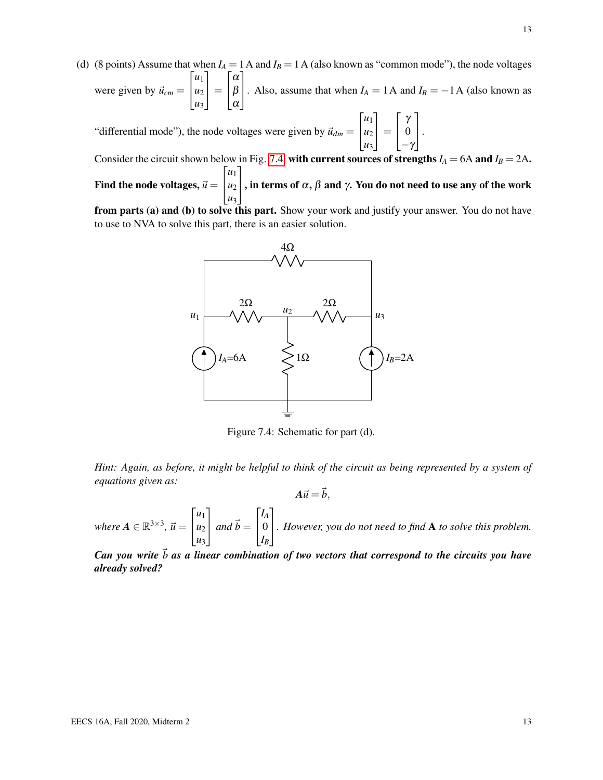(d) (8 points) Assume that when  $I_A = 1$  A and  $I_B = 1$  A (also known as "common mode"), the node voltages were given by  $\vec{u}_{cm} =$  $\sqrt{ }$  $\overline{1}$ *u*1 *u*2 *u*3 1  $\vert$  =  $\sqrt{ }$  $\overline{1}$ α β α 1 . Also, assume that when  $I_A = 1$  A and  $I_B = -1$  A (also known as

"differential mode"), the node voltages were given by  $\vec{u}_{dm} =$  $\sqrt{ }$  $\overline{1}$ *u*1 *u*2 *u*3 1  $\vert$  =  $\sqrt{ }$  $\overline{1}$ γ 0  $-\gamma$ 1  $\vert \cdot$ 

Consider the circuit shown below in Fig. [7.4,](#page-12-0) with current sources of strengths  $I_A = 6A$  and  $I_B = 2A$ . Find the node voltages,  $\vec{u}$   $=$  $\sqrt{ }$  $\overline{1}$ *u*1 *u*2 *u*3 1  $\vert$ , in terms of  $\alpha$ ,  $\beta$  and  $\gamma$ . You do not need to use any of the work

<span id="page-12-0"></span>from parts (a) and (b) to solve this part. Show your work and justify your answer. You do not have to use to NVA to solve this part, there is an easier solution.



Figure 7.4: Schematic for part (d).

*Hint: Again, as before, it might be helpful to think of the circuit as being represented by a system of equations given as:*

 $A\vec{u} = \vec{b}$ ,

*where*  $A \in \mathbb{R}^{3 \times 3}$ ,  $\vec{u} =$  $\sqrt{ }$  $\overline{1}$ *u*1 *u*2 *u*3 1  $\int$  *and*  $\vec{b}$  =  $\sqrt{ }$  $\overline{1}$ *IA* 0 *IB* 1 *. However, you do not need to find* <sup>A</sup> *to solve this problem.*

*Can you write*  $\vec{b}$  *as a linear combination of two vectors that correspond to the circuits you have already solved?*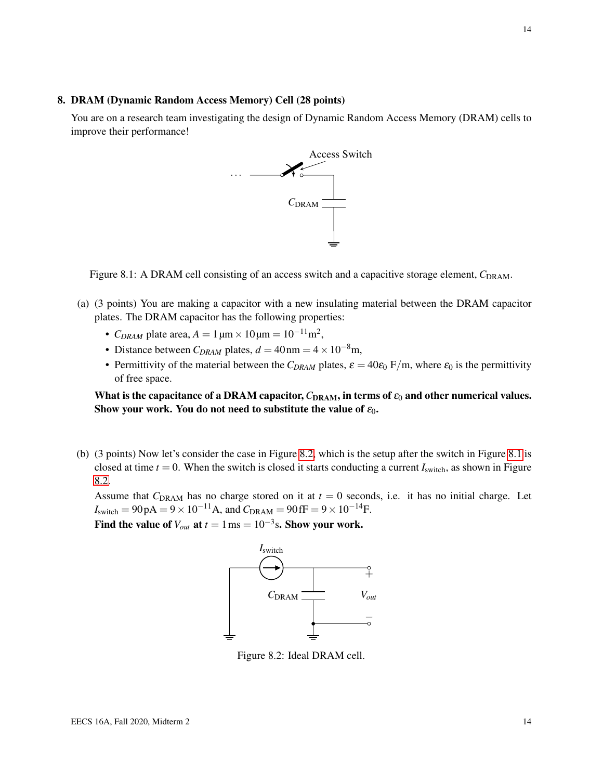#### 8. DRAM (Dynamic Random Access Memory) Cell (28 points)

<span id="page-13-1"></span>You are on a research team investigating the design of Dynamic Random Access Memory (DRAM) cells to improve their performance!



Figure 8.1: A DRAM cell consisting of an access switch and a capacitive storage element,  $C_{\text{DRAM}}$ .

- (a) (3 points) You are making a capacitor with a new insulating material between the DRAM capacitor plates. The DRAM capacitor has the following properties:
	- *C<sub>DRAM</sub>* plate area,  $A = 1 \mu m \times 10 \mu m = 10^{-11} m^2$ ,
	- Distance between  $C_{DRAM}$  plates,  $d = 40$  nm =  $4 \times 10^{-8}$ m,
	- Permittivity of the material between the  $C_{DRAM}$  plates,  $\varepsilon = 40\varepsilon_0$  F/m, where  $\varepsilon_0$  is the permittivity of free space.

What is the capacitance of a DRAM capacitor,  $C_{\text{DRAM}}$ , in terms of  $\varepsilon_0$  and other numerical values. Show your work. You do not need to substitute the value of  $\varepsilon_0$ .

(b) (3 points) Now let's consider the case in Figure [8.2,](#page-13-0) which is the setup after the switch in Figure [8.1](#page-13-1) is closed at time  $t = 0$ . When the switch is closed it starts conducting a current  $I<sub>switch</sub>$ , as shown in Figure [8.2.](#page-13-0)

Assume that  $C_{\text{DRAM}}$  has no charge stored on it at  $t = 0$  seconds, i.e. it has no initial charge. Let  $I_{switch} = 90 pA = 9 \times 10^{-11} A$ , and  $C_{DRAM} = 90 fF = 9 \times 10^{-14} F$ .

<span id="page-13-0"></span>Find the value of  $V_{out}$  at  $t = 1 \text{ ms} = 10^{-3} \text{s}$ . Show your work.



Figure 8.2: Ideal DRAM cell.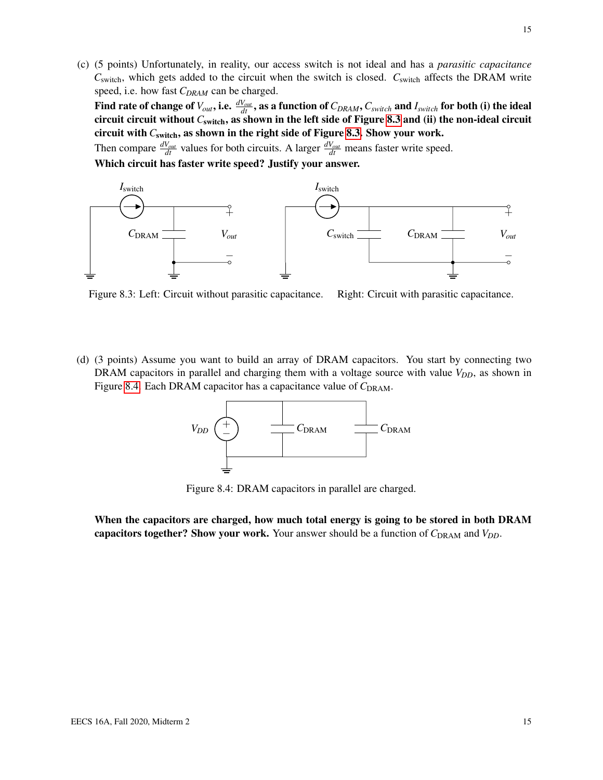(c) (5 points) Unfortunately, in reality, our access switch is not ideal and has a *parasitic capacitance C*<sub>switch</sub>, which gets added to the circuit when the switch is closed. *C*<sub>switch</sub> affects the DRAM write speed, i.e. how fast *CDRAM* can be charged.

Find rate of change of  $V_{out}$ , i.e.  $\frac{dV_{out}}{dt}$ , as a function of  $C_{DRAM}$ ,  $C_{switch}$  and  $I_{switch}$  for both (i) the ideal circuit circuit without *C*switch, as shown in the left side of Figure [8.3](#page-14-0) and (ii) the non-ideal circuit circuit with *C*switch, as shown in the right side of Figure [8.3.](#page-14-0) Show your work.

Then compare  $\frac{dV_{out}}{dt}$  values for both circuits. A larger  $\frac{dV_{out}}{dt}$  means faster write speed.

Which circuit has faster write speed? Justify your answer.

<span id="page-14-0"></span>

Figure 8.3: Left: Circuit without parasitic capacitance. Right: Circuit with parasitic capacitance.

<span id="page-14-1"></span>(d) (3 points) Assume you want to build an array of DRAM capacitors. You start by connecting two DRAM capacitors in parallel and charging them with a voltage source with value  $V_{DD}$ , as shown in Figure [8.4.](#page-14-1) Each DRAM capacitor has a capacitance value of C<sub>DRAM</sub>.



Figure 8.4: DRAM capacitors in parallel are charged.

When the capacitors are charged, how much total energy is going to be stored in both DRAM capacitors together? Show your work. Your answer should be a function of  $C_{\text{DRAM}}$  and  $V_{DD}$ .